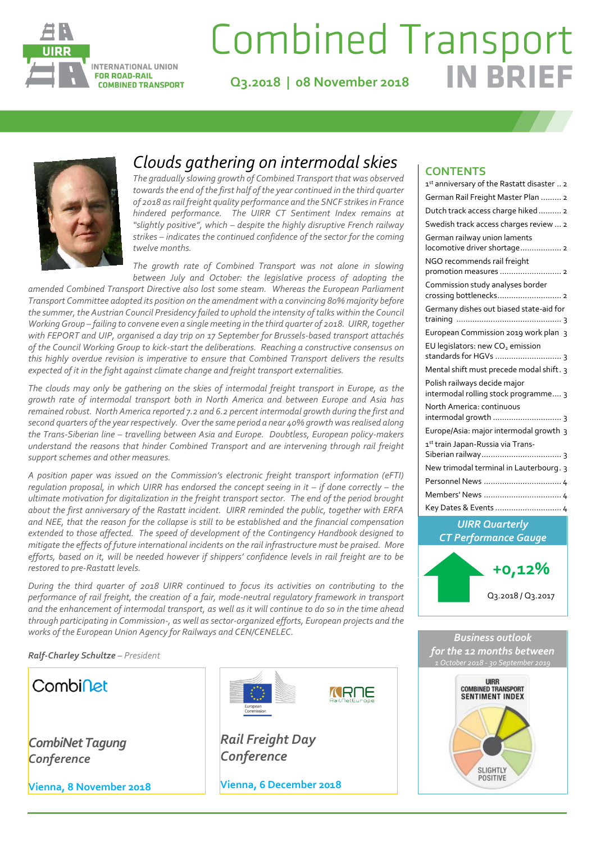

# **Combined Transport IN RRI**

**Q3.2018 | 08 November 2018**



### *Clouds gathering on intermodal skies*

*The gradually slowing growth of Combined Transport that was observed towards the end of the first half of the year continued in the third quarter of 2018 as rail freight quality performance and the SNCF strikes in France hindered performance. The UIRR CT Sentiment Index remains at "slightly positive", which – despite the highly disruptive French railway strikes – indicates the continued confidence of the sector for the coming twelve months.*

*The growth rate of Combined Transport was not alone in slowing between July and October: the legislative process of adopting the* 

*amended Combined Transport Directive also lost some steam. Whereas the European Parliament Transport Committee adopted its position on the amendment with a convincing 80% majority before the summer, the Austrian Council Presidency failed to uphold the intensity of talks within the Council Working Group – failing to convene even a single meeting in the third quarter of 2018. UIRR, together with FEPORT and UIP, organised a day trip on 17 September for Brussels-based transport attachés of the Council Working Group to kick-start the deliberations. Reaching a constructive consensus on this highly overdue revision is imperative to ensure that Combined Transport delivers the results expected of it in the fight against climate change and freight transport externalities.*

*The clouds may only be gathering on the skies of intermodal freight transport in Europe, as the growth rate of intermodal transport both in North America and between Europe and Asia has remained robust. North America reported 7.2 and 6.2 percent intermodal growth during the first and second quarters of the year respectively. Over the same period a near 40% growth was realised along the Trans-Siberian line – travelling between Asia and Europe. Doubtless, European policy-makers understand the reasons that hinder Combined Transport and are intervening through rail freight support schemes and other measures.* 

*A position paper was issued on the Commission's electronic freight transport information (eFTI) regulation proposal, in which UIRR has endorsed the concept seeing in it – if done correctly – the ultimate motivation for digitalization in the freight transport sector. The end of the period brought about the first anniversary of the Rastatt incident. UIRR reminded the public, together with ERFA and NEE, that the reason for the collapse is still to be established and the financial compensation extended to those affected. The speed of development of the Contingency Handbook designed to mitigate the effects of future international incidents on the rail infrastructure must be praised. More efforts, based on it, will be needed however if shippers' confidence levels in rail freight are to be restored to pre-Rastatt levels.*

*During the third quarter of 2018 UIRR continued to focus its activities on contributing to the performance of rail freight, the creation of a fair, mode-neutral regulatory framework in transport and the enhancement of intermodal transport, as well as it will continue to do so in the time ahead through participating in Commission-, as well as sector-organized efforts, European projects and the works of the European Union Agency for Railways and CEN/CENELEC.*

*Ralf-Charley Schultze – President*



### **CONTENTS**

| 1st anniversary of the Rastatt disaster  2                           |
|----------------------------------------------------------------------|
| German Rail Freight Master Plan  2                                   |
| Dutch track access charge hiked 2                                    |
| Swedish track access charges review  2                               |
| German railway union laments<br>locomotive driver shortage 2         |
| NGO recommends rail freight                                          |
| Commission study analyses border<br>crossing bottlenecks 2           |
| Germany dishes out biased state-aid for                              |
| European Commission 2019 work plan 3                                 |
| EU legislators: new CO <sub>2</sub> emission                         |
| Mental shift must precede modal shift. 3                             |
| Polish railways decide major<br>intermodal rolling stock programme 3 |
| North America: continuous<br>intermodal growth  3                    |
| Europe/Asia: major intermodal growth 3                               |
| 1st train Japan-Russia via Trans-                                    |
| New trimodal terminal in Lauterbourg. 3                              |
| Personnel News  4                                                    |
| Members' News  4                                                     |
| Key Dates & Events  4                                                |
|                                                                      |





**MRNE**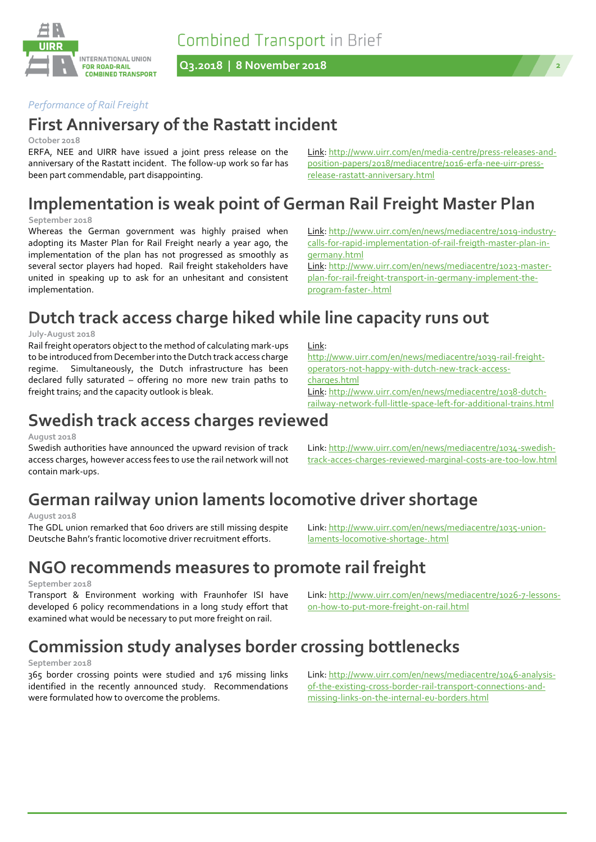**Combined Transport in Brief** 



**Q3.2018 | 8 November 2018 2**



### *Performance of Rail Freight*

### **First Anniversary of the Rastatt incident**

#### **October 2018**

ERFA, NEE and UIRR have issued a joint press release on the anniversary of the Rastatt incident. The follow-up work so far has been part commendable, part disappointing.

Link[: http://www.uirr.com/en/media-centre/press-releases-and](http://www.uirr.com/en/media-centre/press-releases-and-position-papers/2018/mediacentre/1016-erfa-nee-uirr-press-release-rastatt-anniversary.html)[position-papers/2018/mediacentre/1016-erfa-nee-uirr-press](http://www.uirr.com/en/media-centre/press-releases-and-position-papers/2018/mediacentre/1016-erfa-nee-uirr-press-release-rastatt-anniversary.html)[release-rastatt-anniversary.html](http://www.uirr.com/en/media-centre/press-releases-and-position-papers/2018/mediacentre/1016-erfa-nee-uirr-press-release-rastatt-anniversary.html)

# **Implementation is weak point of German Rail Freight Master Plan**

Link:

[charges.html](http://www.uirr.com/en/news/mediacentre/1039-rail-freight-operators-not-happy-with-dutch-new-track-access-charges.html)

#### **September 2018**

Whereas the German government was highly praised when adopting its Master Plan for Rail Freight nearly a year ago, the implementation of the plan has not progressed as smoothly as several sector players had hoped. Rail freight stakeholders have united in speaking up to ask for an unhesitant and consistent implementation.

Link[: http://www.uirr.com/en/news/mediacentre/1019-industry](http://www.uirr.com/en/news/mediacentre/1019-industry-calls-for-rapid-implementation-of-rail-freigth-master-plan-in-germany.html)[calls-for-rapid-implementation-of-rail-freigth-master-plan-in](http://www.uirr.com/en/news/mediacentre/1019-industry-calls-for-rapid-implementation-of-rail-freigth-master-plan-in-germany.html)[germany.html](http://www.uirr.com/en/news/mediacentre/1019-industry-calls-for-rapid-implementation-of-rail-freigth-master-plan-in-germany.html)

Link[: http://www.uirr.com/en/news/mediacentre/1023-master](http://www.uirr.com/en/news/mediacentre/1023-master-plan-for-rail-freight-transport-in-germany-implement-the-program-faster-.html)[plan-for-rail-freight-transport-in-germany-implement-the](http://www.uirr.com/en/news/mediacentre/1023-master-plan-for-rail-freight-transport-in-germany-implement-the-program-faster-.html)[program-faster-.html](http://www.uirr.com/en/news/mediacentre/1023-master-plan-for-rail-freight-transport-in-germany-implement-the-program-faster-.html)

[http://www.uirr.com/en/news/mediacentre/1039-rail-freight-](http://www.uirr.com/en/news/mediacentre/1039-rail-freight-operators-not-happy-with-dutch-new-track-access-charges.html)

Link[: http://www.uirr.com/en/news/mediacentre/1038-dutch-](http://www.uirr.com/en/news/mediacentre/1038-dutch-railway-network-full-little-space-left-for-additional-trains.html)

[operators-not-happy-with-dutch-new-track-access-](http://www.uirr.com/en/news/mediacentre/1039-rail-freight-operators-not-happy-with-dutch-new-track-access-charges.html)

### **Dutch track access charge hiked while line capacity runs out**

#### **July-August 2018**

Rail freight operators object to the method of calculating mark-ups to be introduced from December into the Dutch track access charge regime. Simultaneously, the Dutch infrastructure has been declared fully saturated – offering no more new train paths to freight trains; and the capacity outlook is bleak.

### [railway-network-full-little-space-left-for-additional-trains.html](http://www.uirr.com/en/news/mediacentre/1038-dutch-railway-network-full-little-space-left-for-additional-trains.html) **Swedish track access charges reviewed**

#### **August 2018**

Swedish authorities have announced the upward revision of track access charges, however access fees to use the rail network will not contain mark-ups.

# **German railway union laments locomotive driver shortage**

#### **August 2018**

The GDL union remarked that 600 drivers are still missing despite Deutsche Bahn's frantic locomotive driver recruitment efforts.

### **NGO recommends measures to promote rail freight**

#### **September 2018**

Transport & Environment working with Fraunhofer ISI have developed 6 policy recommendations in a long study effort that examined what would be necessary to put more freight on rail.

# **Commission study analyses border crossing bottlenecks**

#### **September 2018**

365 border crossing points were studied and 176 missing links identified in the recently announced study. Recommendations were formulated how to overcome the problems.

Link[: http://www.uirr.com/en/news/mediacentre/1034-swedish](http://www.uirr.com/en/news/mediacentre/1034-swedish-track-acces-charges-reviewed-marginal-costs-are-too-low.html)[track-acces-charges-reviewed-marginal-costs-are-too-low.html](http://www.uirr.com/en/news/mediacentre/1034-swedish-track-acces-charges-reviewed-marginal-costs-are-too-low.html)

Link[: http://www.uirr.com/en/news/mediacentre/1035-union](http://www.uirr.com/en/news/mediacentre/1035-union-laments-locomotive-shortage-.html)[laments-locomotive-shortage-.html](http://www.uirr.com/en/news/mediacentre/1035-union-laments-locomotive-shortage-.html)

Link: http://www.uirr.com/en/news/mediacentre/1026-7-lessonson-how-to-put-more-freight-on-rail.html

Link[: http://www.uirr.com/en/news/mediacentre/1046-analysis](http://www.uirr.com/en/news/mediacentre/1046-analysis-of-the-existing-cross-border-rail-transport-connections-and-missing-links-on-the-internal-eu-borders.html)[of-the-existing-cross-border-rail-transport-connections-and](http://www.uirr.com/en/news/mediacentre/1046-analysis-of-the-existing-cross-border-rail-transport-connections-and-missing-links-on-the-internal-eu-borders.html)[missing-links-on-the-internal-eu-borders.html](http://www.uirr.com/en/news/mediacentre/1046-analysis-of-the-existing-cross-border-rail-transport-connections-and-missing-links-on-the-internal-eu-borders.html)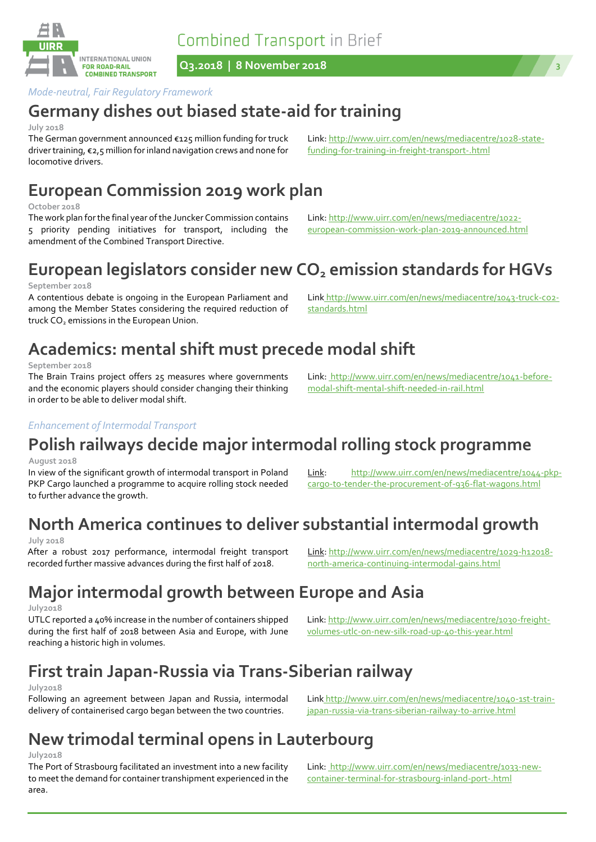**Combined Transport in Brief** 

**Q3.2018 | 8 November 2018 3**

#### *Mode-neutral, Fair Regulatory Framework*

### **Germany dishes out biased state-aid for training**

#### **July 2018**

The German government announced €125 million funding for truck driver training, €2,5 million for inland navigation crews and none for locomotive drivers.

### **European Commission 2019 work plan**

#### **October 2018**

**September 2018** 

The work plan for the final year of the Juncker Commission contains 5 priority pending initiatives for transport, including the amendment of the Combined Transport Directive.

A contentious debate is ongoing in the European Parliament and among the Member States considering the required reduction of

Link[: http://www.uirr.com/en/news/mediacentre/1028-state-](http://www.uirr.com/en/news/mediacentre/1028-state-funding-for-training-in-freight-transport-.html)

Link: http://www.uirr.com/en/news/mediacentre/1022 european-commission-work-plan-2019-announced.html

[funding-for-training-in-freight-transport-.html](http://www.uirr.com/en/news/mediacentre/1028-state-funding-for-training-in-freight-transport-.html)

standards.html

Link: http://www.uirr.com/en/news/mediacentre/1041-before-

modal-shift-mental-shift-needed-in-rail.html

### **Academics: mental shift must precede modal shift**

#### **September 2018**

The Brain Trains project offers 25 measures where governments and the economic players should consider changing their thinking in order to be able to deliver modal shift.

### *Enhancement of Intermodal Transport*

truck CO<sub>2</sub> emissions in the European Union.

# **Polish railways decide major intermodal rolling stock programme**

#### **August 2018**

In view of the significant growth of intermodal transport in Poland PKP Cargo launched a programme to acquire rolling stock needed to further advance the growth.

Link: [http://www.uirr.com/en/news/mediacentre/1044-pkp](http://www.uirr.com/en/news/mediacentre/1044-pkp-cargo-to-tender-the-procurement-of-936-flat-wagons.html)[cargo-to-tender-the-procurement-of-936-flat-wagons.html](http://www.uirr.com/en/news/mediacentre/1044-pkp-cargo-to-tender-the-procurement-of-936-flat-wagons.html)

# **North America continues to deliver substantial intermodal growth**

#### **July 2018**

After a robust 2017 performance, intermodal freight transport recorded further massive advances during the first half of 2018.

# **Major intermodal growth between Europe and Asia**

#### **July2018**

UTLC reported a 40% increase in the number of containers shipped during the first half of 2018 between Asia and Europe, with June reaching a historic high in volumes.

# **First train Japan-Russia via Trans-Siberian railway**

#### **July2018**

Following an agreement between Japan and Russia, intermodal delivery of containerised cargo began between the two countries.

# **New trimodal terminal opens in Lauterbourg**

#### **July2018**

The Port of Strasbourg facilitated an investment into a new facility to meet the demand for container transhipment experienced in the area.

Link: http://www.uirr.com/en/news/mediacentre/1029-h12018 north-america-continuing-intermodal-gains.html

Link: http://www.uirr.com/en/news/mediacentre/1030-freight-

volumes-utlc-on-new-silk-road-up-40-this-year.html

japan-russia-via-trans-siberian-railway-to-arrive.html

Link http://www.uirr.com/en/news/mediacentre/1040-1st-train-

Link: http://www.uirr.com/en/news/mediacentre/1033-newcontainer-terminal-for-strasbourg-inland-port-.html

**European legislators consider new CO<sup>2</sup> emission standards for HGVs** Link http://www.uirr.com/en/news/mediacentre/1043-truck-co2-